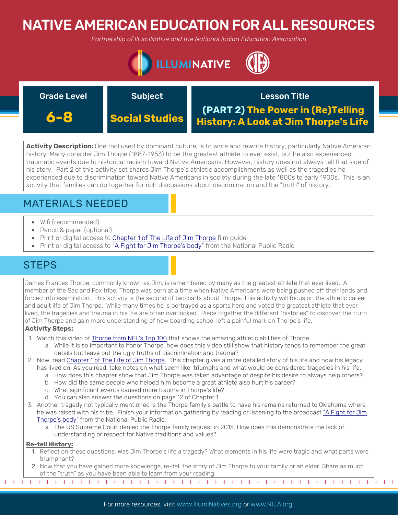# NATIVE AMERICAN EDUCATION FOR ALL RESOURCES

*Partnership of IllumiNative and the National Indian Education Association*



| <b>Grade Level</b> | <b>Subject</b> | <b>Lesson Title</b>                                                       |
|--------------------|----------------|---------------------------------------------------------------------------|
| 6-8                | Social Studies | (PART 2) The Power in (Re)Telling<br>History: A Look at Jim Thorpe's Life |

**Activity Description:** One tool used by dominant culture, is to write and rewrite history, particularly Native American history. Many consider Jim Thorpe (1887-1953) to be the greatest athlete to ever exist, but he also experienced traumatic events due to historical racism toward Native Americans. However, history does not always tell that side of his story. Part 2 of this activity set shares Jim Thorpe's athletic accomplishments as well as the tragedies he experienced due to discrimination toward Native Americans in society during the late 1800s to early 1900s. This is an activity that families can do together for rich discussions about discrimination and the "truth" of history.

## MATERIALS NEEDED

- Wifi (recommended)
- Pencil & paper (optional)
- Print or digital access to [Chapter 1 of The Life of Jim Thorpe](https://www.jimthorpefilm.com/guide/guide01.pdf) film quide
- Print or digital access to ["A Fight for Jim Thorpe's body"](https://www.npr.org/2011/08/03/138524619/a-fight-for-jim-thorpes-body) from the National Public Radio

## **STEPS**

James Frances Thorpe, commonly known as Jim, is remembered by many as the greatest athlete that ever lived. A member of the Sac and Fox tribe, Thorpe was born at a time when Native Americans were being pushed off their lands and forced into assimilation. This activity is the second of two parts about Thorpe. This activity will focus on the athletic career and adult life of Jim Thorpe. While many times he is portrayed as a sports hero and voted the greatest athlete that ever lived, the tragedies and trauma in his life are often overlooked. Piece together the different "histories" to discover the truth of Jim Thorpe and gain more understanding of how boarding school left a painful mark on Thorpe's life.

### **Activity Steps:**

- 1. Watch this video of [Thorpe from NFL's Top 100](https://www.youtube.com/watch?v=66XjZN55dtA) that shows the amazing athletic abilities of Thorpe.
	- a. While it is so important to honor Thorpe, how does this video still show that history tends to remember the great details but leave out the ugly truths of discrimination and trauma?
- 2. Now, read [Chapter 1 of The Life of Jim Thorpe.](https://www.jimthorpefilm.com/guide/guide01.pdf) This chapter gives a more detailed story of his life and how his legacy has lived on. As you read, take notes on what seem like triumphs and what would be considered tragedies in his life.
	- a. How does this [chapter show that Jim Th](http://mrswebb4.weebly.com/uploads/2/0/4/9/20499204/jim_thorpes_bright_path.pdf%20)orpe was taken advantage of despite his desire to always help others?
	- b. How did the same people who helped him become a great athlete also hurt his career?
	- c. What significant events caused more trauma in Thorpe's life?
	- d. You can also answer the questions on page 12 of Chapter 1.
- 3. Another tragedy not typically mentioned is the Thorpe family's battle to have his remains returned to Oklahoma where [he was raised with his tribe. Finish your information gathering by reading or listening to the broadcast "A Fight for Jim](https://www.npr.org/2011/08/03/138524619/a-fight-for-jim-thorpes-body) Thorpe's body" from the National Public Radio.
	- a. The US Supreme Court denied the Thorpe family request in 2015. How does this demonstrate the lack of understanding or respect for Native traditions and values?

### **Re-tell History:**

- 1. Reflect on these questions: Was Jim Thorpe's life a tragedy? What elements in his life were tragic and what parts were triumphant?
- 2. Now that you have gained more knowledge, re-tell the story of Jim Thorpe to your family or an elder. Share as much of the "truth" as you have been able to learn from your reading.

+ + + + + + + + + + + + + + + + + + + + + + + + + + + + + + + + + + + + + + + + + + + + + + + +